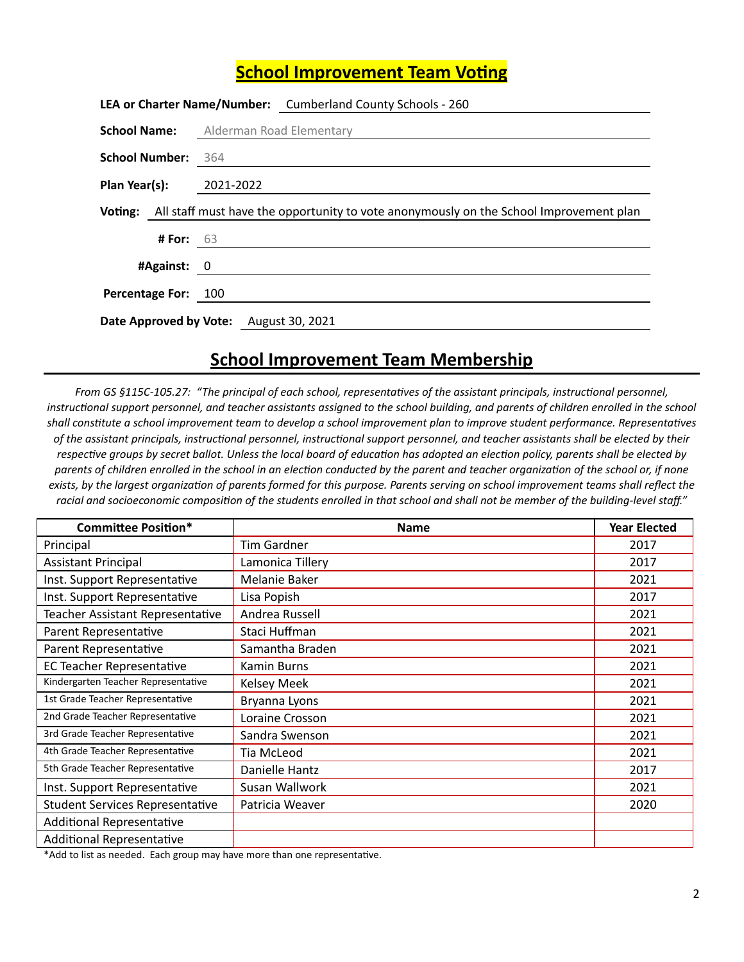## **School Improvement Team Voting**

|                                              |                 |  | LEA or Charter Name/Number: Cumberland County Schools - 260                                           |
|----------------------------------------------|-----------------|--|-------------------------------------------------------------------------------------------------------|
| <b>School Name:</b> Alderman Road Elementary |                 |  |                                                                                                       |
| School Number: 364                           |                 |  |                                                                                                       |
| <b>Plan Year(s):</b> 2021-2022               |                 |  |                                                                                                       |
|                                              |                 |  | <b>Voting:</b> All staff must have the opportunity to vote anonymously on the School Improvement plan |
|                                              | <b>#For:</b> 63 |  |                                                                                                       |
|                                              | #Against: 0     |  |                                                                                                       |
| Percentage For: 100                          |                 |  |                                                                                                       |
|                                              |                 |  |                                                                                                       |
| Date Approved by Vote: August 30, 2021       |                 |  |                                                                                                       |

## **School Improvement Team Membership**

*From* GS §115C-105.27: "The principal of each school, representatives of the assistant principals, instructional personnel, instructional support personnel, and teacher assistants assigned to the school building, and parents of children enrolled in the school shall constitute a school improvement team to develop a school improvement plan to improve student performance. Representatives of the assistant principals, instructional personnel, instructional support personnel, and teacher assistants shall be elected by their respective groups by secret ballot. Unless the local board of education has adopted an election policy, parents shall be elected by parents of children enrolled in the school in an election conducted by the parent and teacher organization of the school or, if none exists, by the largest organization of parents formed for this purpose. Parents serving on school improvement teams shall reflect the racial and socioeconomic composition of the students enrolled in that school and shall not be member of the building-level staff."

| <b>Committee Position*</b>             | <b>Name</b>        | <b>Year Elected</b> |
|----------------------------------------|--------------------|---------------------|
| Principal                              | Tim Gardner        | 2017                |
| <b>Assistant Principal</b>             | Lamonica Tillery   | 2017                |
| Inst. Support Representative           | Melanie Baker      | 2021                |
| Inst. Support Representative           | Lisa Popish        | 2017                |
| Teacher Assistant Representative       | Andrea Russell     | 2021                |
| Parent Representative                  | Staci Huffman      | 2021                |
| Parent Representative                  | Samantha Braden    | 2021                |
| <b>EC Teacher Representative</b>       | <b>Kamin Burns</b> | 2021                |
| Kindergarten Teacher Representative    | <b>Kelsey Meek</b> | 2021                |
| 1st Grade Teacher Representative       | Bryanna Lyons      | 2021                |
| 2nd Grade Teacher Representative       | Loraine Crosson    | 2021                |
| 3rd Grade Teacher Representative       | Sandra Swenson     | 2021                |
| 4th Grade Teacher Representative       | Tia McLeod         | 2021                |
| 5th Grade Teacher Representative       | Danielle Hantz     | 2017                |
| Inst. Support Representative           | Susan Wallwork     | 2021                |
| <b>Student Services Representative</b> | Patricia Weaver    | 2020                |
| <b>Additional Representative</b>       |                    |                     |
| <b>Additional Representative</b>       |                    |                     |

\*Add to list as needed. Each group may have more than one representative.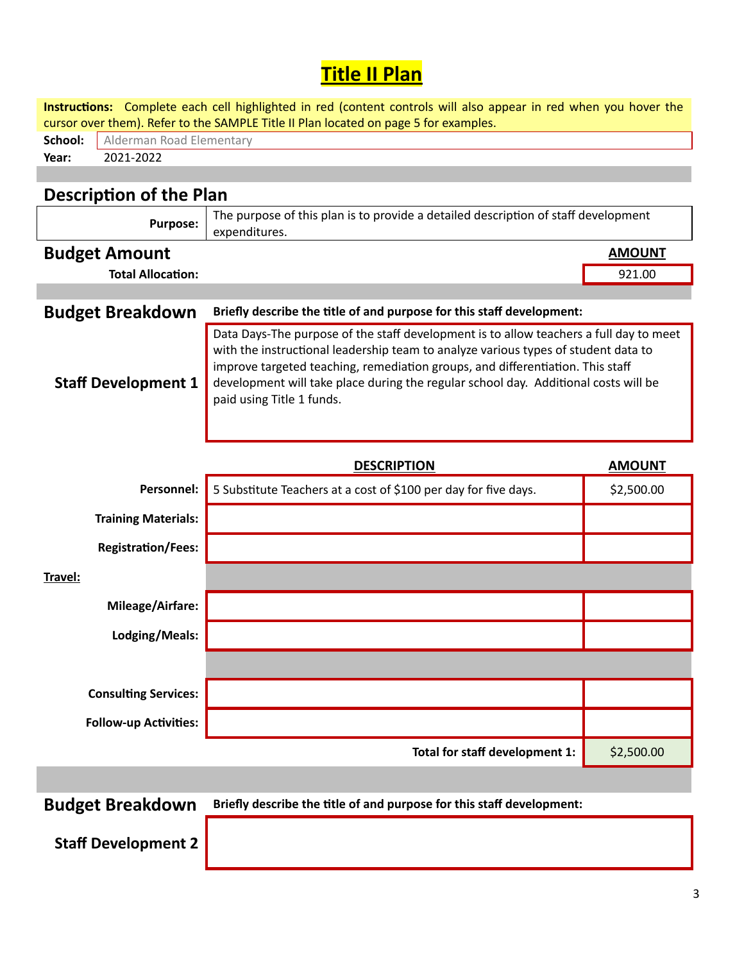## **Title II Plan**

|                                     | Instructions: Complete each cell highlighted in red (content controls will also appear in red when you hover the<br>cursor over them). Refer to the SAMPLE Title II Plan located on page 5 for examples.                                                                                                                                                                           |               |
|-------------------------------------|------------------------------------------------------------------------------------------------------------------------------------------------------------------------------------------------------------------------------------------------------------------------------------------------------------------------------------------------------------------------------------|---------------|
| School:<br>Alderman Road Elementary |                                                                                                                                                                                                                                                                                                                                                                                    |               |
| 2021-2022<br>Year:                  |                                                                                                                                                                                                                                                                                                                                                                                    |               |
|                                     |                                                                                                                                                                                                                                                                                                                                                                                    |               |
| <b>Description of the Plan</b>      |                                                                                                                                                                                                                                                                                                                                                                                    |               |
| <b>Purpose:</b>                     | The purpose of this plan is to provide a detailed description of staff development<br>expenditures.                                                                                                                                                                                                                                                                                |               |
| <b>Budget Amount</b>                |                                                                                                                                                                                                                                                                                                                                                                                    | <b>AMOUNT</b> |
| <b>Total Allocation:</b>            |                                                                                                                                                                                                                                                                                                                                                                                    | 921.00        |
|                                     |                                                                                                                                                                                                                                                                                                                                                                                    |               |
| <b>Budget Breakdown</b>             | Briefly describe the title of and purpose for this staff development:                                                                                                                                                                                                                                                                                                              |               |
| <b>Staff Development 1</b>          | Data Days-The purpose of the staff development is to allow teachers a full day to meet<br>with the instructional leadership team to analyze various types of student data to<br>improve targeted teaching, remediation groups, and differentiation. This staff<br>development will take place during the regular school day. Additional costs will be<br>paid using Title 1 funds. |               |
|                                     | <b>DESCRIPTION</b>                                                                                                                                                                                                                                                                                                                                                                 | <b>AMOUNT</b> |
| Personnel:                          | 5 Substitute Teachers at a cost of \$100 per day for five days.                                                                                                                                                                                                                                                                                                                    | \$2,500.00    |
| <b>Training Materials:</b>          |                                                                                                                                                                                                                                                                                                                                                                                    |               |
| <b>Registration/Fees:</b>           |                                                                                                                                                                                                                                                                                                                                                                                    |               |
| Travel:                             |                                                                                                                                                                                                                                                                                                                                                                                    |               |
| Mileage/Airfare:                    |                                                                                                                                                                                                                                                                                                                                                                                    |               |
| Lodging/Meals:                      |                                                                                                                                                                                                                                                                                                                                                                                    |               |
|                                     |                                                                                                                                                                                                                                                                                                                                                                                    |               |
| <b>Consulting Services:</b>         |                                                                                                                                                                                                                                                                                                                                                                                    |               |
| <b>Follow-up Activities:</b>        |                                                                                                                                                                                                                                                                                                                                                                                    |               |
|                                     | Total for staff development 1:                                                                                                                                                                                                                                                                                                                                                     | \$2,500.00    |
|                                     |                                                                                                                                                                                                                                                                                                                                                                                    |               |
|                                     |                                                                                                                                                                                                                                                                                                                                                                                    |               |

**Budget Breakdown** Briefly describe the title of and purpose for this staff development:

**Staff Development 2**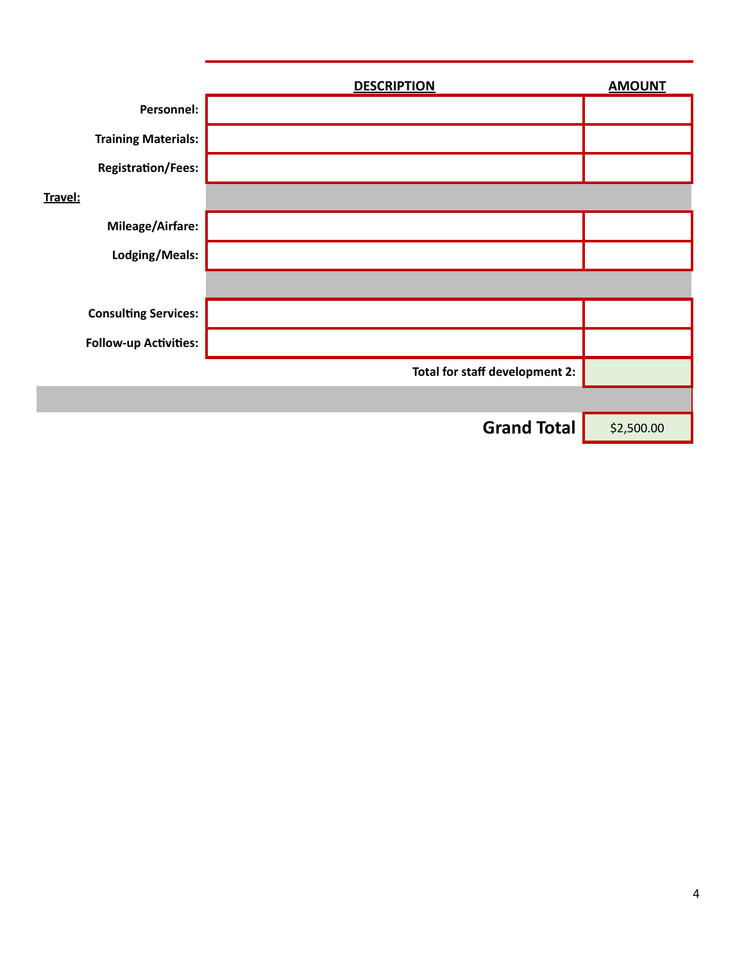|                              | <b>DESCRIPTION</b>             | <b>AMOUNT</b> |
|------------------------------|--------------------------------|---------------|
| Personnel:                   |                                |               |
| <b>Training Materials:</b>   |                                |               |
| <b>Registration/Fees:</b>    |                                |               |
| Travel:                      |                                |               |
| Mileage/Airfare:             |                                |               |
| Lodging/Meals:               |                                |               |
|                              |                                |               |
| <b>Consulting Services:</b>  |                                |               |
| <b>Follow-up Activities:</b> |                                |               |
|                              | Total for staff development 2: |               |
|                              |                                |               |
|                              | <b>Grand Total</b>             | \$2,500.00    |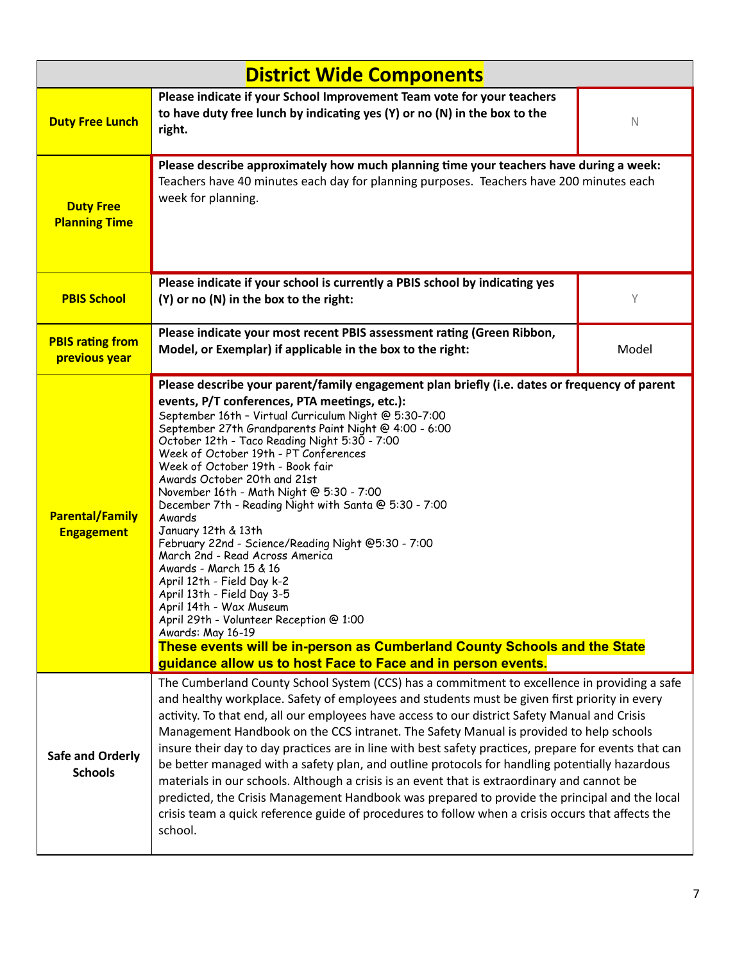| <b>District Wide Components</b>             |                                                                                                                                                                                                                                                                                                                                                                                                                                                                                                                                                                                                                                                                                                                                                                                                                                                                                                                                                                                             |             |  |
|---------------------------------------------|---------------------------------------------------------------------------------------------------------------------------------------------------------------------------------------------------------------------------------------------------------------------------------------------------------------------------------------------------------------------------------------------------------------------------------------------------------------------------------------------------------------------------------------------------------------------------------------------------------------------------------------------------------------------------------------------------------------------------------------------------------------------------------------------------------------------------------------------------------------------------------------------------------------------------------------------------------------------------------------------|-------------|--|
| <b>Duty Free Lunch</b>                      | Please indicate if your School Improvement Team vote for your teachers<br>to have duty free lunch by indicating yes (Y) or no (N) in the box to the<br>right.                                                                                                                                                                                                                                                                                                                                                                                                                                                                                                                                                                                                                                                                                                                                                                                                                               | $\mathbb N$ |  |
| <b>Duty Free</b><br><b>Planning Time</b>    | Please describe approximately how much planning time your teachers have during a week:<br>Teachers have 40 minutes each day for planning purposes. Teachers have 200 minutes each<br>week for planning.                                                                                                                                                                                                                                                                                                                                                                                                                                                                                                                                                                                                                                                                                                                                                                                     |             |  |
| <b>PBIS School</b>                          | Please indicate if your school is currently a PBIS school by indicating yes<br>(Y) or no (N) in the box to the right:                                                                                                                                                                                                                                                                                                                                                                                                                                                                                                                                                                                                                                                                                                                                                                                                                                                                       | Υ           |  |
| <b>PBIS rating from</b><br>previous year    | Please indicate your most recent PBIS assessment rating (Green Ribbon,<br>Model, or Exemplar) if applicable in the box to the right:                                                                                                                                                                                                                                                                                                                                                                                                                                                                                                                                                                                                                                                                                                                                                                                                                                                        | Model       |  |
| <b>Parental/Family</b><br><b>Engagement</b> | Please describe your parent/family engagement plan briefly (i.e. dates or frequency of parent<br>events, P/T conferences, PTA meetings, etc.):<br>September 16th - Virtual Curriculum Night @ 5:30-7:00<br>September 27th Grandparents Paint Night @ 4:00 - 6:00<br>October 12th - Taco Reading Night 5:30 - 7:00<br>Week of October 19th - PT Conferences<br>Week of October 19th - Book fair<br>Awards October 20th and 21st<br>November 16th - Math Night @ 5:30 - 7:00<br>December 7th - Reading Night with Santa @ 5:30 - 7:00<br>Awards<br>January 12th & 13th<br>February 22nd - Science/Reading Night @5:30 - 7:00<br>March 2nd - Read Across America<br>Awards - March 15 & 16<br>April 12th - Field Day k-2<br>April 13th - Field Day 3-5<br>April 14th - Wax Museum<br>April 29th - Volunteer Reception @ 1:00<br>Awards: May 16-19<br>These events will be in-person as Cumberland County Schools and the State<br>guidance allow us to host Face to Face and in person events. |             |  |
| <b>Safe and Orderly</b><br><b>Schools</b>   | The Cumberland County School System (CCS) has a commitment to excellence in providing a safe<br>and healthy workplace. Safety of employees and students must be given first priority in every<br>activity. To that end, all our employees have access to our district Safety Manual and Crisis<br>Management Handbook on the CCS intranet. The Safety Manual is provided to help schools<br>insure their day to day practices are in line with best safety practices, prepare for events that can<br>be better managed with a safety plan, and outline protocols for handling potentially hazardous<br>materials in our schools. Although a crisis is an event that is extraordinary and cannot be<br>predicted, the Crisis Management Handbook was prepared to provide the principal and the local<br>crisis team a quick reference guide of procedures to follow when a crisis occurs that affects the<br>school.                                                                         |             |  |